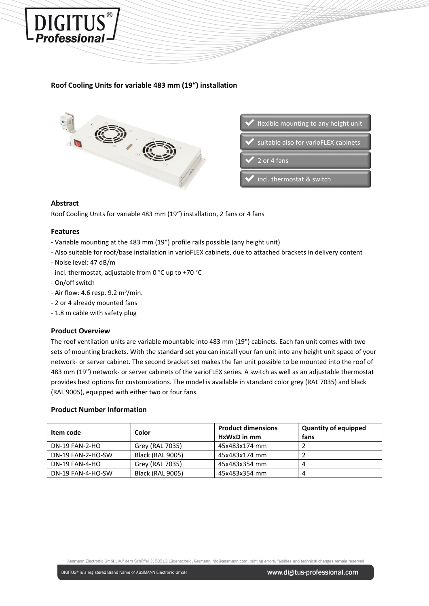# **Roof Cooling Units for variable 483 mm (19") installation**



# **Abstract**

**DIGITUS Professional** 

Roof Cooling Units for variable 483 mm (19") installation, 2 fans or 4 fans

## **Features**

- Variable mounting at the 483 mm (19") profile rails possible (any height unit)
- Also suitable for roof/base installation in varioFLEX cabinets, due to attached brackets in delivery content
- Noise level: 47 dB/m
- incl. thermostat, adjustable from 0 °C up to +70 °C
- On/off switch
- Air flow: 4.6 resp.  $9.2 \text{ m}^3/\text{min}$ .
- 2 or 4 already mounted fans
- 1.8 m cable with safety plug

#### **Product Overview**

The roof ventilation units are variable mountable into 483 mm (19") cabinets. Each fan unit comes with two sets of mounting brackets. With the standard set you can install your fan unit into any height unit space of your network- or server cabinet. The second bracket set makes the fan unit possible to be mounted into the roof of 483 mm (19") network- or server cabinets of the varioFLEX series. A switch as well as an adjustable thermostat provides best options for customizations. The model is available in standard color grey (RAL 7035) and black (RAL 9005), equipped with either two or four fans.

#### **Product Number Information**

| Item code         | Color                   | <b>Product dimensions</b> | <b>Quantity of equipped</b> |
|-------------------|-------------------------|---------------------------|-----------------------------|
|                   |                         | HxWxD in mm               | fans                        |
| DN-19 FAN-2-HO    | Grey (RAL 7035)         | 45x483x174 mm             |                             |
| DN-19 FAN-2-HO-SW | <b>Black (RAL 9005)</b> | 45x483x174 mm             |                             |
| DN-19 FAN-4-HO    | Grey (RAL 7035)         | 45x483x354 mm             |                             |
| DN-19 FAN-4-HO-SW | <b>Black (RAL 9005)</b> | 45x483x354 mm             | 4                           |

Assmann Electronic GmbH, Auf dem Schüffel 3, 58513 Lüdenscheid, Germany, info@assmann.com, printing errors, falsities and technical changes remain reserved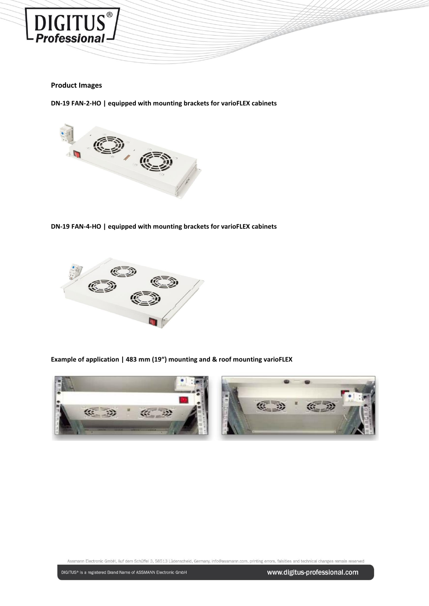

## **Product Images**

**DN-19 FAN-2-HO | equipped with mounting brackets for varioFLEX cabinets**



**DN-19 FAN-4-HO | equipped with mounting brackets for varioFLEX cabinets**



**Example of application | 483 mm (19") mounting and & roof mounting varioFLEX**



Assmann Electronic GmbH, Auf dem Schüffel 3, 58513 Lüdenscheid, Germany, info@assmann.com, printing errors, falsities and technical changes remain reserved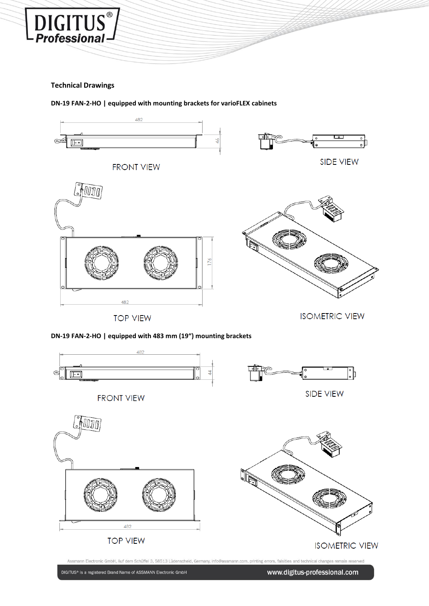

DIGITUS<sup>®</sup>

**DN-19 FAN-2-HO | equipped with mounting brackets for varioFLEX cabinets**